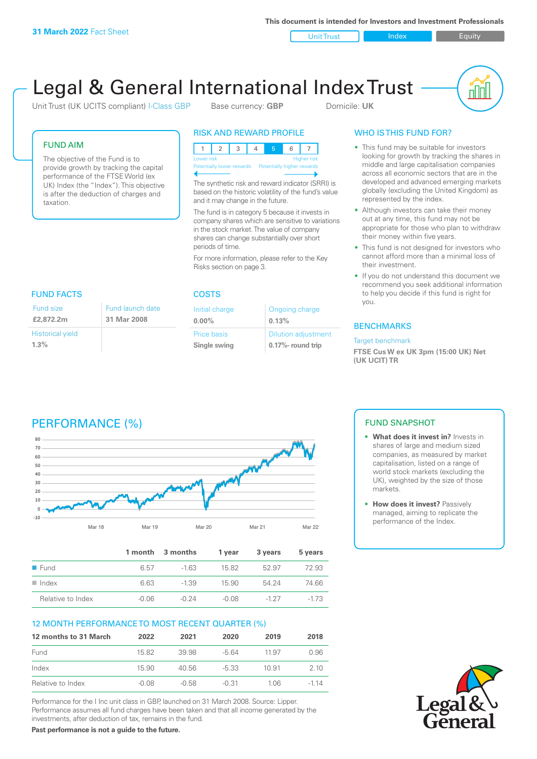**This document is intended for Investors and Investment Professionals**

Unit Trust Index I Equity



# Legal & General International Index Trust

Unit Trust (UK UCITS compliant) I-Class GBP Base currency: **GBP** Domicile: UK

# FUND AIM

The objective of the Fund is to provide growth by tracking the capital performance of the FTSE World (ex UK) Index (the "Index"). This objective is after the deduction of charges and taxation.

# RISK AND REWARD PROFILE

|                                                      | Lower risk |  |  |  | <b>Higher risk</b> |
|------------------------------------------------------|------------|--|--|--|--------------------|
| Potentially lower rewards Potentially higher rewards |            |  |  |  |                    |
|                                                      |            |  |  |  |                    |

The synthetic risk and reward indicator (SRRI) is based on the historic volatility of the fund's value and it may change in the future.

The fund is in category 5 because it invests in company shares which are sensitive to variations in the stock market. The value of company shares can change substantially over short periods of time.

For more information, please refer to the Key Risks section on page 3.

| FUND FACTS              |                                 |  |
|-------------------------|---------------------------------|--|
| Fund size<br>£2,872.2m  | Fund launch date<br>31 Mar 2008 |  |
| <b>Historical yield</b> |                                 |  |
| $1.3\%$                 |                                 |  |

## COSTS

| Initial charge | Ongoing charge             |
|----------------|----------------------------|
| $0.00\%$       | 0.13%                      |
| Price basis    | <b>Dilution adjustment</b> |
| Single swing   | 0.17%- round trip          |

# WHO IS THIS FUND FOR?

- This fund may be suitable for investors looking for growth by tracking the shares in middle and large capitalisation companies across all economic sectors that are in the developed and advanced emerging markets globally (excluding the United Kingdom) as represented by the index.
- Although investors can take their money out at any time, this fund may not be appropriate for those who plan to withdraw their money within five years.
- This fund is not designed for investors who cannot afford more than a minimal loss of their investment.
- If you do not understand this document we recommend you seek additional information to help you decide if this fund is right for you.

# **BENCHMARKS**

#### Target benchmark

**FTSE Cus W ex UK 3pm (15:00 UK) Net (UK UCIT) TR**

# PERFORMANCE (%)



|                      |         | 1 month 3 months | 1 vear  | 3 years | 5 years |
|----------------------|---------|------------------|---------|---------|---------|
| ■ Fund               | 6.57    | $-163$           | 1582    | 52.97   | 72.93   |
| $\blacksquare$ Index | 6.63    | $-1.39$          | 15.90   | 54 24   | 74.66   |
| Relative to Index    | $-0.06$ | $-0.24$          | $-0.08$ | $-127$  | $-173$  |

# 12 MONTH PERFORMANCE TO MOST RECENT QUARTER (%)

| 12 months to 31 March | 2022  | 2021  | 2020    | 2019  | 2018   |
|-----------------------|-------|-------|---------|-------|--------|
| Fund                  | 15.82 | 39.98 | $-564$  | 11.97 | 0.96   |
| Index                 | 15.90 | 40.56 | $-5.33$ | 10.91 | 2 10   |
| Relative to Index     | -0.08 | -0.58 | $-0.31$ | 1 06. | $-114$ |

Performance for the I Inc unit class in GBP, launched on 31 March 2008. Source: Lipper. Performance assumes all fund charges have been taken and that all income generated by the investments, after deduction of tax, remains in the fund.

**Past performance is not a guide to the future.**

# FUND SNAPSHOT

- **• What does it invest in?** Invests in shares of large and medium sized companies, as measured by market capitalisation, listed on a range of world stock markets (excluding the UK), weighted by the size of those markets.
- **• How does it invest?** Passively managed, aiming to replicate the performance of the Index.

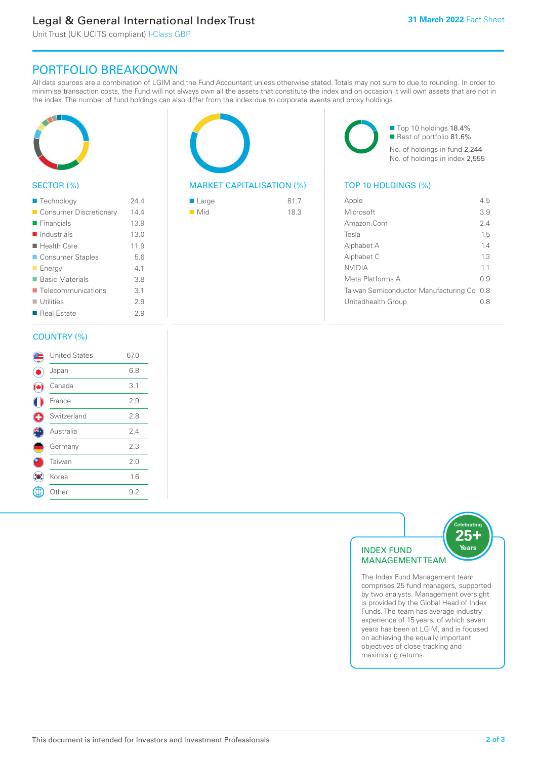# Legal & General International Index Trust

Unit Trust (UK UCITS compliant) I-Class GBP

# PORTFOLIO BREAKDOWN

All data sources are a combination of LGIM and the Fund Accountant unless otherwise stated. Totals may not sum to due to rounding. In order to minimise transaction costs, the Fund will not always own all the assets that constitute the index and on occasion it will own assets that are not in the index. The number of fund holdings can also differ from the index due to corporate events and proxy holdings.



## SECTOR (%)

| ■ Technology                      | 244  |
|-----------------------------------|------|
| Consumer Discretionary            | 14.4 |
| $\blacksquare$ Financials         | 13.9 |
| $\blacksquare$ Industrials        | 13.0 |
| $\blacksquare$ Health Care        | 11.9 |
| ■ Consumer Staples                | 5.6  |
| <b>Energy</b>                     | 41   |
| <b>Basic Materials</b>            | 3.8  |
| $\blacksquare$ Telecommunications | 3.1  |
| $\blacksquare$ Utilities          | 29   |
| ■ Real Estate                     | 29   |
|                                   |      |

## COUNTRY (%)

|   | <b>United States</b> | 67.0 |
|---|----------------------|------|
|   | Japan                | 6.8  |
|   | Canada               | 3.1  |
|   | France               | 2.9  |
| € | Switzerland          | 2.8  |
|   | Australia            | 2.4  |
|   | Germany              | 2.3  |
|   | Taiwan               | 2.0  |
|   | Korea                | 1.6  |
|   | Other                | 9.2  |
|   |                      |      |



# MARKET CAPITALISATION (%) TOP 10 HOLDINGS (%)

| $\blacksquare$ Large | 81.7 |
|----------------------|------|
| $\blacksquare$ Mid   | 18.3 |

■ Top 10 holdings 18.4% Rest of portfolio 81.6% No. of holdings in fund 2,244 No. of holdings in index 2,555

| Apple                                     | 45  |
|-------------------------------------------|-----|
| Microsoft                                 | 3.9 |
| Amazon Com                                | 2.4 |
| Tesla                                     | 1.5 |
| Alphabet A                                | 14  |
| Alphabet C                                | 13  |
| <b>NVIDIA</b>                             | 11  |
| Meta Platforms A                          | 09  |
| Taiwan Semiconductor Manufacturing Co 0.8 |     |
| Unitedhealth Group                        | 0 8 |
|                                           |     |



The Index Fund Management team comprises 25 fund managers, supported by two analysts. Management oversight is provided by the Global Head of Index Funds. The team has average industry experience of 15 years, of which seven years has been at LGIM, and is focused on achieving the equally important objectives of close tracking and maximising returns.